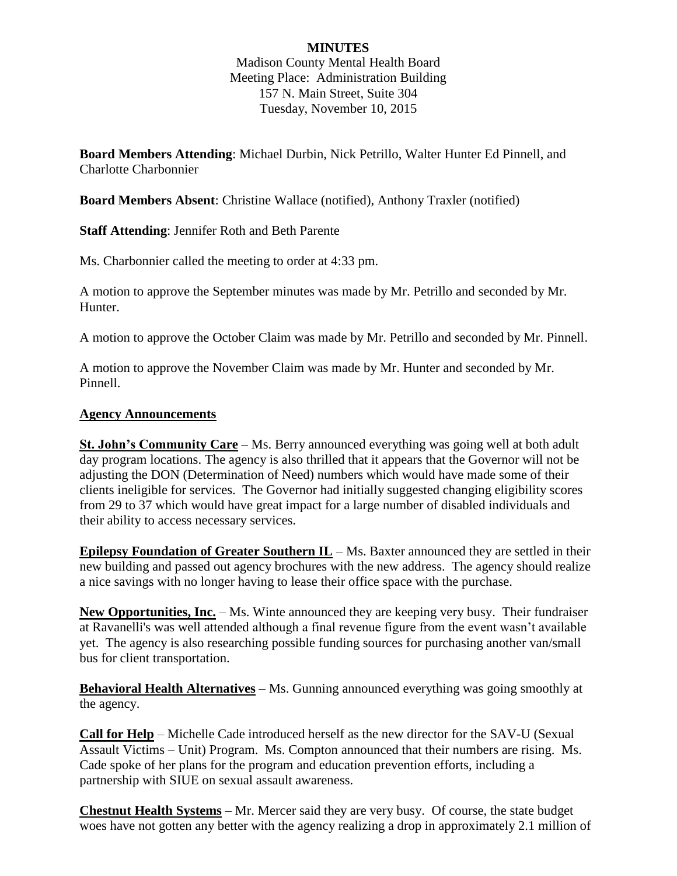# **MINUTES**

Madison County Mental Health Board Meeting Place: Administration Building 157 N. Main Street, Suite 304 Tuesday, November 10, 2015

**Board Members Attending**: Michael Durbin, Nick Petrillo, Walter Hunter Ed Pinnell, and Charlotte Charbonnier

**Board Members Absent**: Christine Wallace (notified), Anthony Traxler (notified)

**Staff Attending**: Jennifer Roth and Beth Parente

Ms. Charbonnier called the meeting to order at 4:33 pm.

A motion to approve the September minutes was made by Mr. Petrillo and seconded by Mr. Hunter.

A motion to approve the October Claim was made by Mr. Petrillo and seconded by Mr. Pinnell.

A motion to approve the November Claim was made by Mr. Hunter and seconded by Mr. Pinnell.

#### **Agency Announcements**

**St. John's Community Care** – Ms. Berry announced everything was going well at both adult day program locations. The agency is also thrilled that it appears that the Governor will not be adjusting the DON (Determination of Need) numbers which would have made some of their clients ineligible for services. The Governor had initially suggested changing eligibility scores from 29 to 37 which would have great impact for a large number of disabled individuals and their ability to access necessary services.

**Epilepsy Foundation of Greater Southern IL** – Ms. Baxter announced they are settled in their new building and passed out agency brochures with the new address. The agency should realize a nice savings with no longer having to lease their office space with the purchase.

New Opportunities, Inc. – Ms. Winte announced they are keeping very busy. Their fundraiser at Ravanelli's was well attended although a final revenue figure from the event wasn't available yet. The agency is also researching possible funding sources for purchasing another van/small bus for client transportation.

**Behavioral Health Alternatives** – Ms. Gunning announced everything was going smoothly at the agency.

**Call for Help** – Michelle Cade introduced herself as the new director for the SAV-U (Sexual Assault Victims – Unit) Program. Ms. Compton announced that their numbers are rising. Ms. Cade spoke of her plans for the program and education prevention efforts, including a partnership with SIUE on sexual assault awareness.

**Chestnut Health Systems** – Mr. Mercer said they are very busy. Of course, the state budget woes have not gotten any better with the agency realizing a drop in approximately 2.1 million of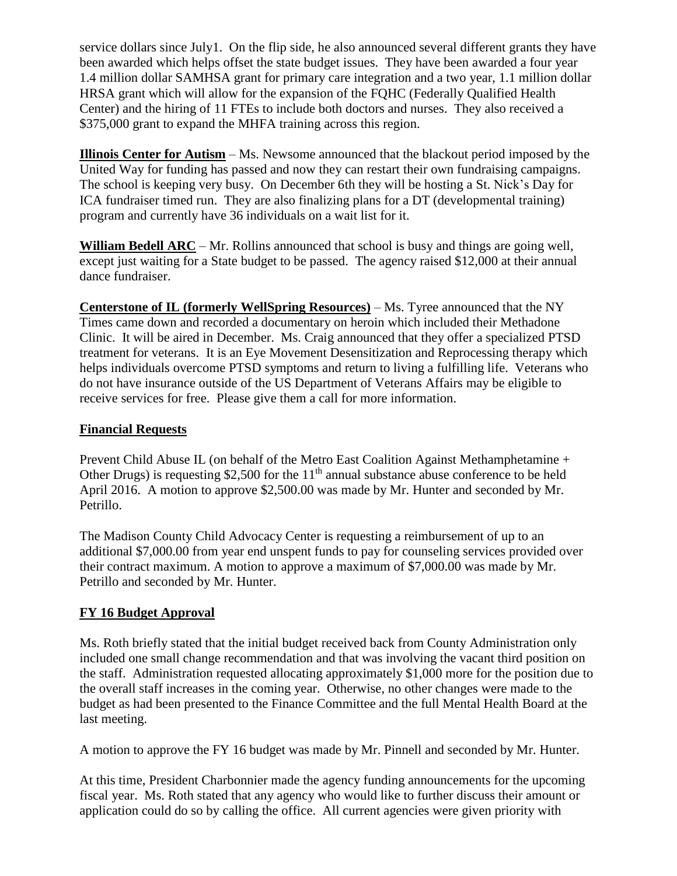service dollars since July1. On the flip side, he also announced several different grants they have been awarded which helps offset the state budget issues. They have been awarded a four year 1.4 million dollar SAMHSA grant for primary care integration and a two year, 1.1 million dollar HRSA grant which will allow for the expansion of the FQHC (Federally Qualified Health Center) and the hiring of 11 FTEs to include both doctors and nurses. They also received a \$375,000 grant to expand the MHFA training across this region.

**Illinois Center for Autism** – Ms. Newsome announced that the blackout period imposed by the United Way for funding has passed and now they can restart their own fundraising campaigns. The school is keeping very busy. On December 6th they will be hosting a St. Nick's Day for ICA fundraiser timed run. They are also finalizing plans for a DT (developmental training) program and currently have 36 individuals on a wait list for it.

**William Bedell ARC** – Mr. Rollins announced that school is busy and things are going well, except just waiting for a State budget to be passed. The agency raised \$12,000 at their annual dance fundraiser.

**Centerstone of IL (formerly WellSpring Resources)** – Ms. Tyree announced that the NY Times came down and recorded a documentary on heroin which included their Methadone Clinic. It will be aired in December. Ms. Craig announced that they offer a specialized PTSD treatment for veterans. It is an Eye Movement Desensitization and Reprocessing therapy which helps individuals overcome PTSD symptoms and return to living a fulfilling life. Veterans who do not have insurance outside of the US Department of Veterans Affairs may be eligible to receive services for free. Please give them a call for more information.

### **Financial Requests**

Prevent Child Abuse IL (on behalf of the Metro East Coalition Against Methamphetamine + Other Drugs) is requesting \$2,500 for the  $11<sup>th</sup>$  annual substance abuse conference to be held April 2016. A motion to approve \$2,500.00 was made by Mr. Hunter and seconded by Mr. Petrillo.

The Madison County Child Advocacy Center is requesting a reimbursement of up to an additional \$7,000.00 from year end unspent funds to pay for counseling services provided over their contract maximum. A motion to approve a maximum of \$7,000.00 was made by Mr. Petrillo and seconded by Mr. Hunter.

### **FY 16 Budget Approval**

Ms. Roth briefly stated that the initial budget received back from County Administration only included one small change recommendation and that was involving the vacant third position on the staff. Administration requested allocating approximately \$1,000 more for the position due to the overall staff increases in the coming year. Otherwise, no other changes were made to the budget as had been presented to the Finance Committee and the full Mental Health Board at the last meeting.

A motion to approve the FY 16 budget was made by Mr. Pinnell and seconded by Mr. Hunter.

At this time, President Charbonnier made the agency funding announcements for the upcoming fiscal year. Ms. Roth stated that any agency who would like to further discuss their amount or application could do so by calling the office. All current agencies were given priority with